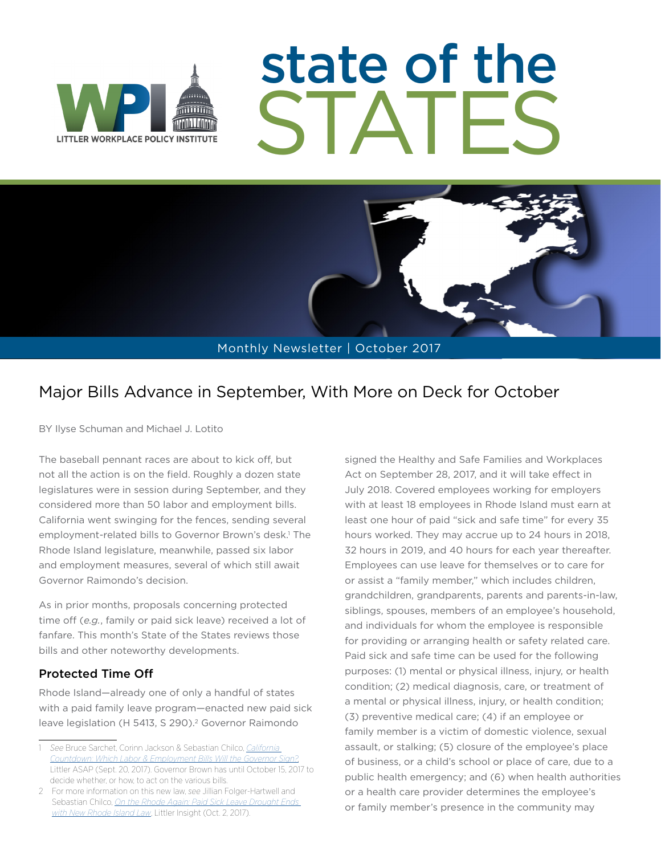

# state of the STATES



### Major Bills Advance in September, With More on Deck for October

BY Ilyse Schuman and Michael J. Lotito

The baseball pennant races are about to kick off, but not all the action is on the field. Roughly a dozen state legislatures were in session during September, and they considered more than 50 labor and employment bills. California went swinging for the fences, sending several employment-related bills to Governor Brown's desk.<sup>1</sup> The Rhode Island legislature, meanwhile, passed six labor and employment measures, several of which still await Governor Raimondo's decision.

As in prior months, proposals concerning protected time off (*e.g.*, family or paid sick leave) received a lot of fanfare. This month's State of the States reviews those bills and other noteworthy developments.

#### Protected Time Off

Rhode Island—already one of only a handful of states with a paid family leave program—enacted new paid sick leave legislation (H 5413, S 290).<sup>2</sup> Governor Raimondo

signed the Healthy and Safe Families and Workplaces Act on September 28, 2017, and it will take effect in July 2018. Covered employees working for employers with at least 18 employees in Rhode Island must earn at least one hour of paid "sick and safe time" for every 35 hours worked. They may accrue up to 24 hours in 2018, 32 hours in 2019, and 40 hours for each year thereafter. Employees can use leave for themselves or to care for or assist a "family member," which includes children, grandchildren, grandparents, parents and parents-in-law, siblings, spouses, members of an employee's household, and individuals for whom the employee is responsible for providing or arranging health or safety related care. Paid sick and safe time can be used for the following purposes: (1) mental or physical illness, injury, or health condition; (2) medical diagnosis, care, or treatment of a mental or physical illness, injury, or health condition; (3) preventive medical care; (4) if an employee or family member is a victim of domestic violence, sexual assault, or stalking; (5) closure of the employee's place of business, or a child's school or place of care, due to a public health emergency; and (6) when health authorities or a health care provider determines the employee's or family member's presence in the community may

<sup>1</sup> *See* Bruce Sarchet, Corinn Jackson & Sebastian Chilco, *[California](https://www.littler.com/publication-press/publication/california-countdown-which-labor-employment-bills-will-governor-sign)  [Countdown: Which Labor & Employment Bills Will the Governor Sign?](https://www.littler.com/publication-press/publication/california-countdown-which-labor-employment-bills-will-governor-sign),* Littler ASAP (Sept. 20, 2017). Governor Brown has until October 15, 2017 to decide whether, or how, to act on the various bills.

<sup>2</sup> For more information on this new law, *see* Jillian Folger-Hartwell and Sebastian Chilco, *[On the Rhode Again: Paid Sick Leave Drought Ends](https://www.littler.com/publication-press/publication/rhode-again-paid-sick-leave-drought-ends-new-rhode-island-law)  [with New Rhode Island Law](https://www.littler.com/publication-press/publication/rhode-again-paid-sick-leave-drought-ends-new-rhode-island-law)*, Littler Insight (Oct. 2, 2017).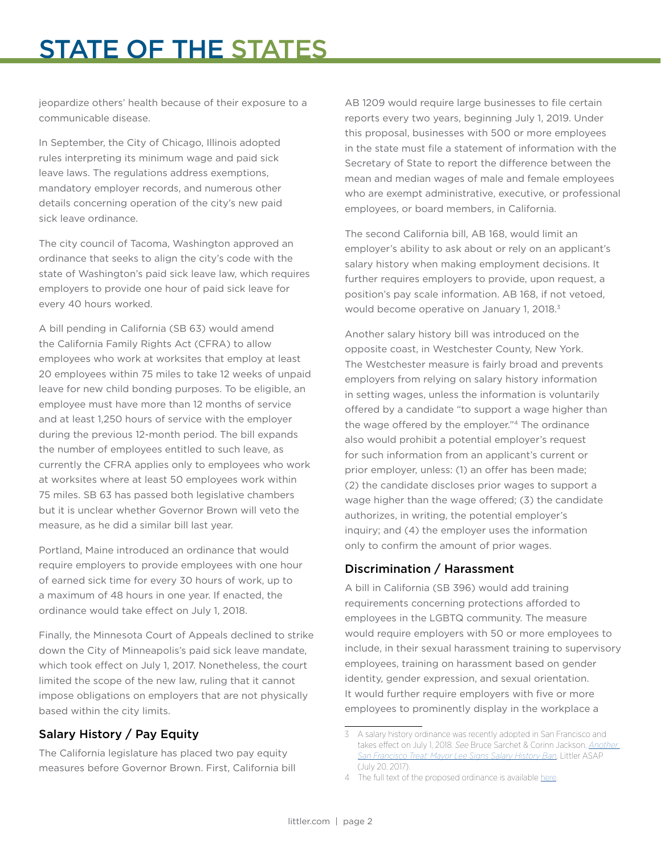## STATE OF THE STATES

jeopardize others' health because of their exposure to a communicable disease.

In September, the City of Chicago, Illinois adopted rules interpreting its minimum wage and paid sick leave laws. The regulations address exemptions, mandatory employer records, and numerous other details concerning operation of the city's new paid sick leave ordinance.

The city council of Tacoma, Washington approved an ordinance that seeks to align the city's code with the state of Washington's paid sick leave law, which requires employers to provide one hour of paid sick leave for every 40 hours worked.

A bill pending in California (SB 63) would amend the California Family Rights Act (CFRA) to allow employees who work at worksites that employ at least 20 employees within 75 miles to take 12 weeks of unpaid leave for new child bonding purposes. To be eligible, an employee must have more than 12 months of service and at least 1,250 hours of service with the employer during the previous 12-month period. The bill expands the number of employees entitled to such leave, as currently the CFRA applies only to employees who work at worksites where at least 50 employees work within 75 miles. SB 63 has passed both legislative chambers but it is unclear whether Governor Brown will veto the measure, as he did a similar bill last year.

Portland, Maine introduced an ordinance that would require employers to provide employees with one hour of earned sick time for every 30 hours of work, up to a maximum of 48 hours in one year. If enacted, the ordinance would take effect on July 1, 2018.

Finally, the Minnesota Court of Appeals declined to strike down the City of Minneapolis's paid sick leave mandate, which took effect on July 1, 2017. Nonetheless, the court limited the scope of the new law, ruling that it cannot impose obligations on employers that are not physically based within the city limits.

#### Salary History / Pay Equity

The California legislature has placed two pay equity measures before Governor Brown. First, California bill

AB 1209 would require large businesses to file certain reports every two years, beginning July 1, 2019. Under this proposal, businesses with 500 or more employees in the state must file a statement of information with the Secretary of State to report the difference between the mean and median wages of male and female employees who are exempt administrative, executive, or professional employees, or board members, in California.

The second California bill, AB 168, would limit an employer's ability to ask about or rely on an applicant's salary history when making employment decisions. It further requires employers to provide, upon request, a position's pay scale information. AB 168, if not vetoed, would become operative on January 1, 2018.<sup>3</sup>

Another salary history bill was introduced on the opposite coast, in Westchester County, New York. The Westchester measure is fairly broad and prevents employers from relying on salary history information in setting wages, unless the information is voluntarily offered by a candidate "to support a wage higher than the wage offered by the employer."<sup>4</sup> The ordinance also would prohibit a potential employer's request for such information from an applicant's current or prior employer, unless: (1) an offer has been made; (2) the candidate discloses prior wages to support a wage higher than the wage offered; (3) the candidate authorizes, in writing, the potential employer's inquiry; and (4) the employer uses the information only to confirm the amount of prior wages.

#### Discrimination / Harassment

A bill in California (SB 396) would add training requirements concerning protections afforded to employees in the LGBTQ community. The measure would require employers with 50 or more employees to include, in their sexual harassment training to supervisory employees, training on harassment based on gender identity, gender expression, and sexual orientation. It would further require employers with five or more employees to prominently display in the workplace a

<sup>3</sup> A salary history ordinance was recently adopted in San Francisco and takes effect on July 1, 2018. *See* Bruce Sarchet & Corinn Jackson, *[Another](https://www.littler.com/publication-press/publication/another-san-francisco-treat-mayor-lee-signs-salary-history-ban)  [San Francisco Treat: Mayor Lee Signs Salary History Ban](https://www.littler.com/publication-press/publication/another-san-francisco-treat-mayor-lee-signs-salary-history-ban)*, Littler ASAP (July 20, 2017).

<sup>4</sup> The full text of the proposed ordinance is available [here.](https://assets.documentcloud.org/documents/4059513/Wage-History-Anti-Discrimination-Bill.pdf)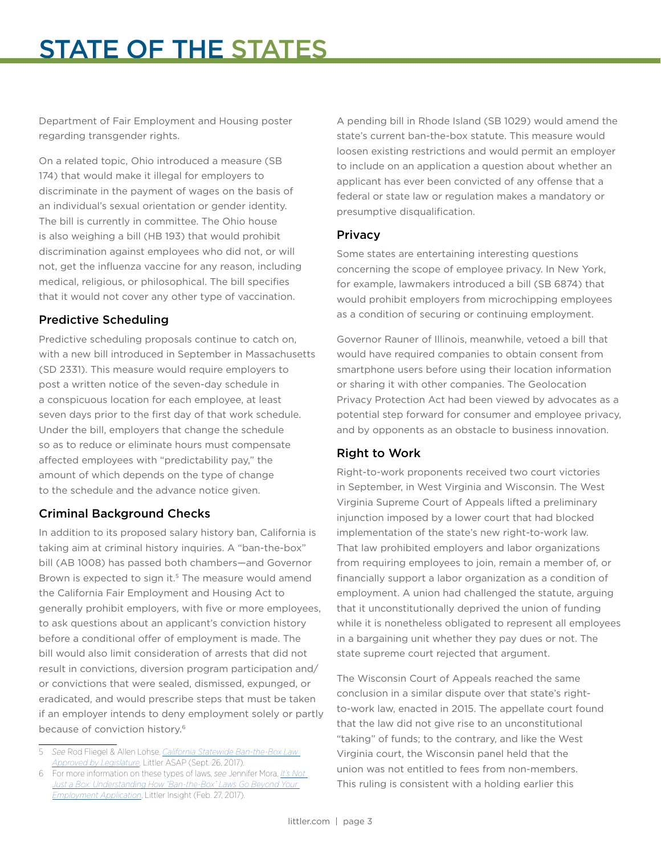Department of Fair Employment and Housing poster regarding transgender rights.

On a related topic, Ohio introduced a measure (SB 174) that would make it illegal for employers to discriminate in the payment of wages on the basis of an individual's sexual orientation or gender identity. The bill is currently in committee. The Ohio house is also weighing a bill (HB 193) that would prohibit discrimination against employees who did not, or will not, get the influenza vaccine for any reason, including medical, religious, or philosophical. The bill specifies that it would not cover any other type of vaccination.

#### Predictive Scheduling

Predictive scheduling proposals continue to catch on, with a new bill introduced in September in Massachusetts (SD 2331). This measure would require employers to post a written notice of the seven-day schedule in a conspicuous location for each employee, at least seven days prior to the first day of that work schedule. Under the bill, employers that change the schedule so as to reduce or eliminate hours must compensate affected employees with "predictability pay," the amount of which depends on the type of change to the schedule and the advance notice given.

#### Criminal Background Checks

In addition to its proposed salary history ban, California is taking aim at criminal history inquiries. A "ban-the-box" bill (AB 1008) has passed both chambers—and Governor Brown is expected to sign it.<sup>5</sup> The measure would amend the California Fair Employment and Housing Act to generally prohibit employers, with five or more employees, to ask questions about an applicant's conviction history before a conditional offer of employment is made. The bill would also limit consideration of arrests that did not result in convictions, diversion program participation and/ or convictions that were sealed, dismissed, expunged, or eradicated, and would prescribe steps that must be taken if an employer intends to deny employment solely or partly because of conviction history.6

A pending bill in Rhode Island (SB 1029) would amend the state's current ban-the-box statute. This measure would loosen existing restrictions and would permit an employer to include on an application a question about whether an applicant has ever been convicted of any offense that a federal or state law or regulation makes a mandatory or presumptive disqualification.

#### Privacy

Some states are entertaining interesting questions concerning the scope of employee privacy. In New York, for example, lawmakers introduced a bill (SB 6874) that would prohibit employers from microchipping employees as a condition of securing or continuing employment.

Governor Rauner of Illinois, meanwhile, vetoed a bill that would have required companies to obtain consent from smartphone users before using their location information or sharing it with other companies. The Geolocation Privacy Protection Act had been viewed by advocates as a potential step forward for consumer and employee privacy, and by opponents as an obstacle to business innovation.

#### Right to Work

Right-to-work proponents received two court victories in September, in West Virginia and Wisconsin. The West Virginia Supreme Court of Appeals lifted a preliminary injunction imposed by a lower court that had blocked implementation of the state's new right-to-work law. That law prohibited employers and labor organizations from requiring employees to join, remain a member of, or financially support a labor organization as a condition of employment. A union had challenged the statute, arguing that it unconstitutionally deprived the union of funding while it is nonetheless obligated to represent all employees in a bargaining unit whether they pay dues or not. The state supreme court rejected that argument.

The Wisconsin Court of Appeals reached the same conclusion in a similar dispute over that state's rightto-work law, enacted in 2015. The appellate court found that the law did not give rise to an unconstitutional "taking" of funds; to the contrary, and like the West Virginia court, the Wisconsin panel held that the union was not entitled to fees from non-members. This ruling is consistent with a holding earlier this

<sup>5</sup> *See* Rod Fliegel & Allen Lohse, *[California Statewide Ban-the-Box Law](https://www.littler.com/publication-press/publication/california-statewide-ban-box-law-approved-legislature)  [Approved by Legislature,](https://www.littler.com/publication-press/publication/california-statewide-ban-box-law-approved-legislature)* Littler ASAP (Sept. 26, 2017).

<sup>6</sup> For more information on these types of laws, *see* Jennifer Mora, *[It's Not](https://www.littler.com/publication-press/publication/its-not-just-box-understanding-how-ban-box-laws-go-beyond-your)  [Just a Box: Understanding How "Ban-the-Box" Laws Go Beyond Your](https://www.littler.com/publication-press/publication/its-not-just-box-understanding-how-ban-box-laws-go-beyond-your)  [Employment Application](https://www.littler.com/publication-press/publication/its-not-just-box-understanding-how-ban-box-laws-go-beyond-your)*, Littler Insight (Feb. 27, 2017).